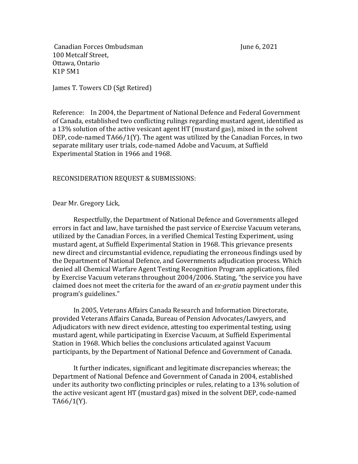Canadian Forces Ombudsman June 6, 2021 100 Metcalf Street, Ottawa, Ontario K1P 5M1

James T. Towers CD (Sgt Retired)

Reference: In 2004, the Department of National Defence and Federal Government of Canada, established two conflicting rulings regarding mustard agent, identified as a 13% solution of the active vesicant agent HT (mustard gas), mixed in the solvent DEP, code-named  $T\text{A}66/1(Y)$ . The agent was utilized by the Canadian Forces, in two separate military user trials, code-named Adobe and Vacuum, at Suffield Experimental Station in 1966 and 1968.

# RECONSIDERATION REQUEST & SUBMISSIONS:

# Dear Mr. Gregory Lick,

Respectfully, the Department of National Defence and Governments alleged errors in fact and law, have tarnished the past service of Exercise Vacuum veterans, utilized by the Canadian Forces, in a verified Chemical Testing Experiment, using mustard agent, at Suffield Experimental Station in 1968. This grievance presents new direct and circumstantial evidence, repudiating the erroneous findings used by the Department of National Defence, and Governments adjudication process. Which denied all Chemical Warfare Agent Testing Recognition Program applications, filed by Exercise Vacuum veterans throughout 2004/2006. Stating, "the service you have claimed does not meet the criteria for the award of an *ex-gratia* payment under this program's guidelines."

In 2005, Veterans Affairs Canada Research and Information Directorate, provided Veterans Affairs Canada, Bureau of Pension Advocates/Lawyers, and Adjudicators with new direct evidence, attesting too experimental testing, using mustard agent, while participating in Exercise Vacuum, at Suffield Experimental Station in 1968. Which belies the conclusions articulated against Vacuum participants, by the Department of National Defence and Government of Canada.

It further indicates, significant and legitimate discrepancies whereas; the Department of National Defence and Government of Canada in 2004, established under its authority two conflicting principles or rules, relating to a 13% solution of the active vesicant agent HT (mustard gas) mixed in the solvent DEP, code-named TA66/1(Y).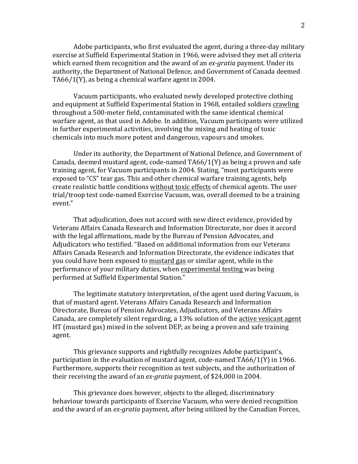Adobe participants, who first evaluated the agent, during a three-day military exercise at Suffield Experimental Station in 1966, were advised they met all criteria which earned them recognition and the award of an *ex-gratia* payment. Under its authority, the Department of National Defence, and Government of Canada deemed TA66/1(Y), as being a chemical warfare agent in 2004.

Vacuum participants, who evaluated newly developed protective clothing and equipment at Suffield Experimental Station in 1968, entailed soldiers crawling throughout a 500-meter field, contaminated with the same identical chemical warfare agent, as that used in Adobe. In addition, Vacuum participants were utilized in further experimental activities, involving the mixing and heating of toxic chemicals into much more potent and dangerous, vapours and smokes.

Under its authority, the Department of National Defence, and Government of Canada, deemed mustard agent, code-named  $T\frac{A66}{I(Y)}$  as being a proven and safe training agent, for Vacuum participants in 2004. Stating, "most participants were exposed to "CS" tear gas. This and other chemical warfare training agents, help create realistic battle conditions without toxic effects of chemical agents. The user trial/troop test code-named Exercise Vacuum, was, overall deemed to be a training event."

That adjudication, does not accord with new direct evidence, provided by Veterans Affairs Canada Research and Information Directorate, nor does it accord with the legal affirmations, made by the Bureau of Pension Advocates, and Adjudicators who testified. "Based on additional information from our Veterans Affairs Canada Research and Information Directorate, the evidence indicates that you could have been exposed to mustard gas or similar agent, while in the performance of your military duties, when experimental testing was being performed at Suffield Experimental Station."

The legitimate statutory interpretation, of the agent used during Vacuum, is that of mustard agent. Veterans Affairs Canada Research and Information Directorate, Bureau of Pension Advocates, Adjudicators, and Veterans Affairs Canada, are completely silent regarding, a 13% solution of the active vesicant agent HT (mustard gas) mixed in the solvent DEP, as being a proven and safe training agent.

This grievance supports and rightfully recognizes Adobe participant's, participation in the evaluation of mustard agent, code-named  $T\text{A}66/1(Y)$  in 1966. Furthermore, supports their recognition as test subjects, and the authorization of their receiving the award of an *ex-gratia* payment, of \$24,000 in 2004.

This grievance does however, objects to the alleged, discriminatory behaviour towards participants of Exercise Vacuum, who were denied recognition and the award of an *ex-gratia* payment, after being utilized by the Canadian Forces,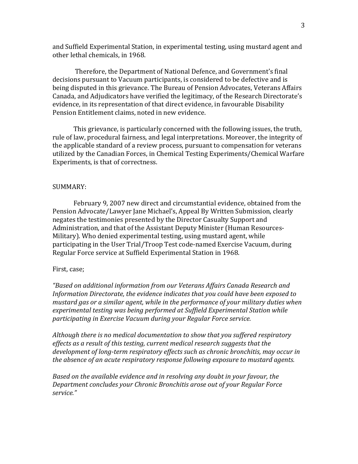and Suffield Experimental Station, in experimental testing, using mustard agent and other lethal chemicals, in 1968.

Therefore, the Department of National Defence, and Government's final decisions pursuant to Vacuum participants, is considered to be defective and is being disputed in this grievance. The Bureau of Pension Advocates, Veterans Affairs Canada, and Adjudicators have verified the legitimacy, of the Research Directorate's evidence, in its representation of that direct evidence, in favourable Disability Pension Entitlement claims, noted in new evidence.

This grievance, is particularly concerned with the following issues, the truth, rule of law, procedural fairness, and legal interpretations. Moreover, the integrity of the applicable standard of a review process, pursuant to compensation for veterans utilized by the Canadian Forces, in Chemical Testing Experiments/Chemical Warfare Experiments, is that of correctness.

#### SUMMARY:

February 9, 2007 new direct and circumstantial evidence, obtained from the Pension Advocate/Lawyer Jane Michael's, Appeal By Written Submission, clearly negates the testimonies presented by the Director Casualty Support and Administration, and that of the Assistant Deputy Minister (Human Resources-Military). Who denied experimental testing, using mustard agent, while participating in the User Trial/Troop Test code-named Exercise Vacuum, during Regular Force service at Suffield Experimental Station in 1968.

#### First, case;

*"Based on additional information from our Veterans Affairs Canada Research and*  Information Directorate, the evidence indicates that you could have been exposed to *mustard gas or a similar agent, while in the performance of your military duties when* experimental testing was being performed at Suffield Experimental Station while participating in Exercise Vacuum during your Regular Force service.

Although there is no medical documentation to show that you suffered respiratory *effects* as a result of this testing, current medical research suggests that the development of long-term respiratory effects such as chronic bronchitis, may occur in *the absence of an acute respiratory response following exposure to mustard agents.* 

*Based* on the available evidence and in resolving any doubt in your favour, the *Department concludes your Chronic Bronchitis arose out of your Regular Force service."*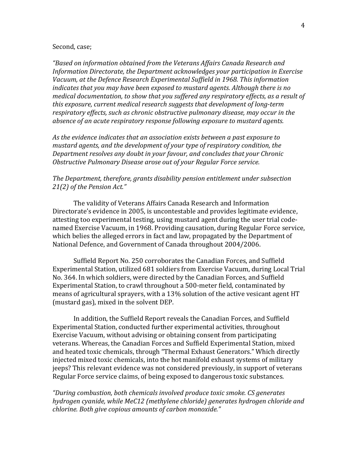#### Second, case;

*"Based on information obtained from the Veterans Affairs Canada Research and Information Directorate, the Department acknowledges your participation in Exercise* Vacuum, at the Defence Research Experimental Suffield in 1968. This information *indicates that you may have been exposed to mustard agents. Although there is no medical documentation, to show that you suffered any respiratory effects, as a result of this exposure, current medical research suggests that development of long-term* respiratory effects, such as chronic obstructive pulmonary disease, may occur in the *absence of an acute respiratory response following exposure to mustard agents.* 

As the evidence indicates that an association exists between a past exposure to mustard agents, and the development of your type of respiratory condition, the *Department resolves any doubt in your favour, and concludes that your Chronic* **Obstructive Pulmonary Disease arose out of your Regular Force service.** 

## The Department, therefore, grants disability pension entitlement under subsection 21(2) of the Pension Act."

The validity of Veterans Affairs Canada Research and Information Directorate's evidence in 2005, is uncontestable and provides legitimate evidence, attesting too experimental testing, using mustard agent during the user trial codenamed Exercise Vacuum, in 1968. Providing causation, during Regular Force service, which belies the alleged errors in fact and law, propagated by the Department of National Defence, and Government of Canada throughout 2004/2006.

Suffield Report No. 250 corroborates the Canadian Forces, and Suffield Experimental Station, utilized 681 soldiers from Exercise Vacuum, during Local Trial No. 364. In which soldiers, were directed by the Canadian Forces, and Suffield Experimental Station, to crawl throughout a 500-meter field, contaminated by means of agricultural sprayers, with a 13% solution of the active vesicant agent HT (mustard gas), mixed in the solvent DEP.

In addition, the Suffield Report reveals the Canadian Forces, and Suffield Experimental Station, conducted further experimental activities, throughout Exercise Vacuum, without advising or obtaining consent from participating veterans. Whereas, the Canadian Forces and Suffield Experimental Station, mixed and heated toxic chemicals, through "Thermal Exhaust Generators." Which directly injected mixed toxic chemicals, into the hot manifold exhaust systems of military jeeps? This relevant evidence was not considered previously, in support of veterans Regular Force service claims, of being exposed to dangerous toxic substances.

*"During combustion, both chemicals involved produce toxic smoke. CS generates hydrogen cyanide, while MeC12 (methylene chloride) generates hydrogen chloride and chlorine. Both give copious amounts of carbon monoxide."*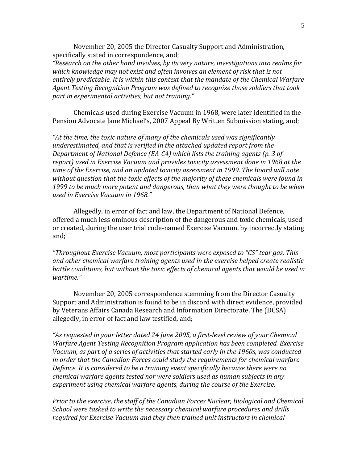November 20, 2005 the Director Casualty Support and Administration, specifically stated in correspondence, and;

*"Research on the other hand involves, by its very nature, investigations into realms for* which knowledge may not exist and often involves an element of risk that is not entirely predictable. It is within this context that the mandate of the Chemical Warfare Agent Testing Recognition Program was defined to recognize those soldiers that took part in experimental activities, but not training."

Chemicals used during Exercise Vacuum in 1968, were later identified in the Pension Advocate Iane Michael's, 2007 Appeal By Written Submission stating, and;

*"At the time, the toxic nature of many of the chemicals used was significantly underestimated, and that is verified in the attached updated report from the Department of National Defence (EA-C4)* which lists the training agents (p. 3 of report) used in Exercise Vacuum and provides toxicity assessment done in 1968 at the *time* of the Exercise, and an updated toxicity assessment in 1999. The Board will note without question that the toxic effects of the majority of these chemicals were found in 1999 to be much more potent and dangerous, than what they were thought to be when *used in Exercise Vacuum in 1968."*

Allegedly, in error of fact and law, the Department of National Defence, offered a much less ominous description of the dangerous and toxic chemicals, used or created, during the user trial code-named Exercise Vacuum, by incorrectly stating and;

*"Throughout Exercise Vacuum, most participants were exposed to "CS" tear gas. This* and other chemical warfare training agents used in the exercise helped create realistic *battle conditions, but without the toxic effects of chemical agents that would be used in wartime."*

November 20, 2005 correspondence stemming from the Director Casualty Support and Administration is found to be in discord with direct evidence, provided by Veterans Affairs Canada Research and Information Directorate. The (DCSA) allegedly, in error of fact and law testified, and;

"As requested in your letter dated 24 June 2005, a first-level review of your Chemical *Warfare Agent Testing Recognition Program application has been completed. Exercise* Vacuum, as part of a series of activities that started early in the 1960s, was conducted *in* order that the Canadian Forces could study the requirements for chemical warfare *Defence. It is considered to be a training event specifically because there were no chemical* warfare agents tested nor were soldiers used as human subjects in any experiment using chemical warfare agents, during the course of the Exercise.

*Prior to the exercise, the staff of the Canadian Forces Nuclear, Biological and Chemical School* were tasked to write the necessary chemical warfare procedures and drills required for Exercise Vacuum and they then trained unit instructors in chemical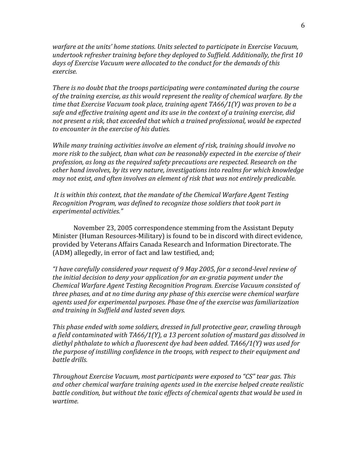*warfare at the units' home stations. Units selected to participate in Exercise Vacuum,* undertook refresher training before they deployed to Suffield. Additionally, the first 10 days of Exercise Vacuum were allocated to the conduct for the demands of this *exercise.*

*There* is no doubt that the troops participating were contaminated during the course of the training exercise, as this would represent the reality of chemical warfare. By the *time that Exercise Vacuum took place, training agent TA66/1(Y)* was proven to be a safe and effective training agent and its use in the context of a training exercise, did not present a risk, that exceeded that which a trained professional, would be expected *to encounter in the exercise of his duties.*

*While* many training activities involve an element of risk, training should involve no *more risk to the subject, than what can be reasonably expected in the exercise of their* profession, as long as the required safety precautions are respected. Research on the other hand involves, by its very nature, investigations into realms for which knowledge *may not exist, and often involves an element of risk that was not entirely predicable.* 

*It is within this context, that the mandate of the Chemical Warfare Agent Testing Recognition Program, was defined to recognize those soldiers that took part in experimental activities."*

November 23, 2005 correspondence stemming from the Assistant Deputy Minister (Human Resources-Military) is found to be in discord with direct evidence, provided by Veterans Affairs Canada Research and Information Directorate. The (ADM) allegedly, in error of fact and law testified, and;

"I have carefully considered your request of 9 May 2005, for a second-level review of *the initial decision to deny your application for an ex-gratia payment under the Chemical Warfare Agent Testing Recognition Program. Exercise Vacuum consisted of three phases, and at no time during any phase of this exercise were chemical warfare agents* used for experimental purposes. Phase One of the exercise was familiarization and training in Suffield and lasted seven days.

*This* phase ended with some soldiers, dressed in full protective gear, crawling through *a field contaminated with TA66/1(Y), a 13 percent solution of mustard gas dissolved in*  diethyl phthalate to which a fluorescent dye had been added. TA66/1(Y) was used for *the purpose of instilling confidence in the troops, with respect to their equipment and battle drills.*

*Throughout Exercise Vacuum, most participants were exposed to "CS" tear gas. This* and other chemical warfare training agents used in the exercise helped create realistic battle condition, but without the toxic effects of chemical agents that would be used in *wartime.*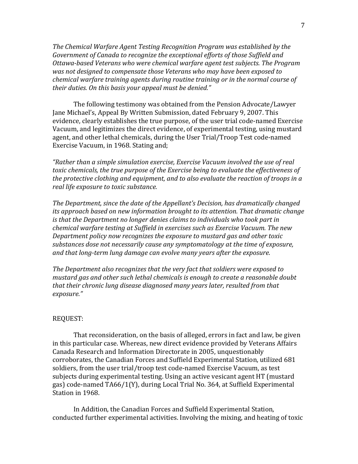The Chemical Warfare Agent Testing Recognition Program was established by the Government of Canada to recognize the exceptional efforts of those Suffield and *Ottawa-based Veterans who were chemical warfare agent test subjects. The Program* was not designed to compensate those Veterans who may have been exposed to *chemical* warfare training agents during routine training or in the normal course of their duties. On this basis your appeal must be denied."

The following testimony was obtained from the Pension Advocate/Lawyer Jane Michael's, Appeal By Written Submission, dated February 9, 2007. This evidence, clearly establishes the true purpose, of the user trial code-named Exercise Vacuum, and legitimizes the direct evidence, of experimental testing, using mustard agent, and other lethal chemicals, during the User Trial/Troop Test code-named Exercise Vacuum, in 1968. Stating and;

"Rather than a simple simulation exercise, Exercise Vacuum involved the use of real toxic chemicals, the true purpose of the Exercise being to evaluate the effectiveness of *the protective clothing and equipment, and to also evaluate the reaction of troops in a real life exposure to toxic substance.* 

The Department, since the date of the Appellant's Decision, has dramatically changed *its approach based on new information brought to its attention. That dramatic change is* that the Department no longer denies claims to individuals who took part in *chemical warfare testing at Suffield in exercises such as Exercise Vacuum. The new Department policy now recognizes the exposure to mustard gas and other toxic* substances dose not necessarily cause any symptomatology at the time of exposure, and that long-term lung damage can evolve many years after the exposure.

The Department also recognizes that the very fact that soldiers were exposed to mustard gas and other such lethal chemicals is enough to create a reasonable doubt *that* their chronic lung disease diagnosed many years later, resulted from that *exposure."*

#### REQUEST:

That reconsideration, on the basis of alleged, errors in fact and law, be given in this particular case. Whereas, new direct evidence provided by Veterans Affairs Canada Research and Information Directorate in 2005, unquestionably corroborates, the Canadian Forces and Suffield Experimental Station, utilized 681 soldiers, from the user trial/troop test code-named Exercise Vacuum, as test subjects during experimental testing. Using an active vesicant agent HT (mustard gas) code-named TA66/1(Y), during Local Trial No. 364, at Suffield Experimental Station in 1968.

In Addition, the Canadian Forces and Suffield Experimental Station, conducted further experimental activities. Involving the mixing, and heating of toxic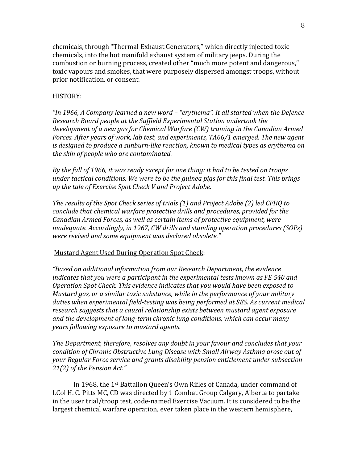chemicals, through "Thermal Exhaust Generators," which directly injected toxic chemicals, into the hot manifold exhaust system of military jeeps. During the combustion or burning process, created other "much more potent and dangerous," toxic vapours and smokes, that were purposely dispersed amongst troops, without prior notification, or consent.

### HISTORY:

*"In 1966, A Company learned a new word – "erythema". It all started when the Defence Research Board people at the Suffield Experimental Station undertook the* development of a new gas for Chemical Warfare (CW) training in the Canadian Armed *Forces. After vears of work, lab test, and experiments, TA66/1 emerged. The new agent is designed to produce a sunburn-like reaction, known to medical types as erythema on the skin of people who are contaminated.* 

*By* the fall of 1966, it was ready except for one thing: it had to be tested on troops under tactical conditions. We were to be the guinea pigs for this final test. This brings *up the tale of Exercise Spot Check V and Project Adobe.*

The results of the Spot Check series of trials (1) and Project Adobe (2) led CFHQ to *conclude that chemical warfare protective drills and procedures, provided for the Canadian Armed Forces, as well as certain items of protective equipment, were inadequate. Accordingly, in 1967, CW drills and standing operation procedures (SOPs) were revised and some equipment was declared obsolete."* 

#### Mustard Agent Used During Operation Spot Check:

*"Based* on additional information from our Research Department, the evidence *indicates that you were a participant in the experimental tests known as FE 540 and Operation Spot Check. This evidence indicates that you would have been exposed to Mustard gas, or a similar toxic substance, while in the performance of your military* duties when experimental field-testing was being performed at SES. As current medical research suggests that a causal relationship exists between mustard agent exposure and the development of long-term chronic lung conditions, which can occur many *years following exposure to mustard agents.* 

The Department, therefore, resolves any doubt in your favour and concludes that your *condition of Chronic Obstructive Lung Disease with Small Airway Asthma arose out of your Regular Force service and grants disability pension entitlement under subsection* 21(2) of the Pension Act."

In 1968, the 1<sup>st</sup> Battalion Queen's Own Rifles of Canada, under command of LCol H. C. Pitts MC, CD was directed by 1 Combat Group Calgary, Alberta to partake in the user trial/troop test, code-named Exercise Vacuum. It is considered to be the largest chemical warfare operation, ever taken place in the western hemisphere,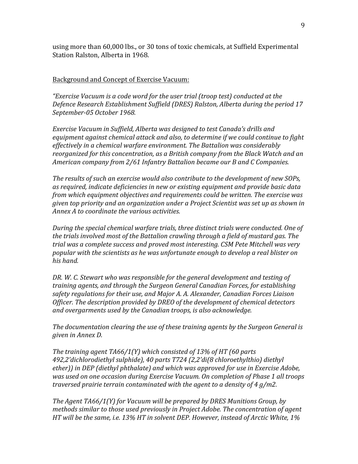using more than 60,000 lbs., or 30 tons of toxic chemicals, at Suffield Experimental Station Ralston, Alberta in 1968.

### Background and Concept of Exercise Vacuum:

"Exercise Vacuum is a code word for the user trial (troop test) conducted at the Defence Research Establishment Suffield (DRES) Ralston, Alberta during the period 17 *September-05 October 1968.*

*Exercise Vacuum in Suffield, Alberta was designed to test Canada's drills and* equipment against chemical attack and also, to determine if we could continue to fight effectively in a chemical warfare environment. The Battalion was considerably reorganized for this concentration, as a British company from the Black Watch and an *American company from 2/61 Infantry Battalion became our B and C Companies.* 

The results of such an exercise would also contribute to the development of new SOPs, as required, indicate deficiencies in new or existing equipment and provide basic data *from* which equipment objectives and requirements could be written. The exercise was *given top priority and an organization under a Project Scientist was set up as shown in Annex A to coordinate the various activities.*

During the special chemical warfare trials, three distinct trials were conducted. One of the trials involved most of the Battalion crawling through a field of mustard gas. The *trial* was a complete success and proved most interesting. CSM Pete Mitchell was very popular with the scientists as he was unfortunate enough to develop a real blister on *his hand.*

DR. W. C. Stewart who was responsible for the general development and testing of *training agents, and through the Surgeon General Canadian Forces, for establishing* safety regulations for their use, and Major A. A. Alexander, Canadian Forces Liaison *Officer. The description provided by DREO of the development of chemical detectors* and overgarments used by the Canadian troops, is also acknowledge.

The documentation clearing the use of these training agents by the Surgeon General is *given in Annex D.* 

The training agent TA66/1(Y) which consisted of 13% of HT (60 parts *492,2'dichlorodiethyl sulphide), 40 parts T724 (2,2'di(8 chloroethylthio) diethyl*  ether)) in DEP (diethyl phthalate) and which was approved for use in Exercise Adobe, was used on one occasion during *Exercise Vacuum.* On completion of Phase 1 all troops *traversed prairie terrain contaminated with the agent to a density of 4 g/m2.* 

*The Agent TA66/1(Y)* for *Vacuum will be prepared by DRES Munitions Group, by methods similar to those used previously in Project Adobe. The concentration of agent HT* will be the same, i.e. 13% HT in solvent DEP. However, instead of Arctic White, 1%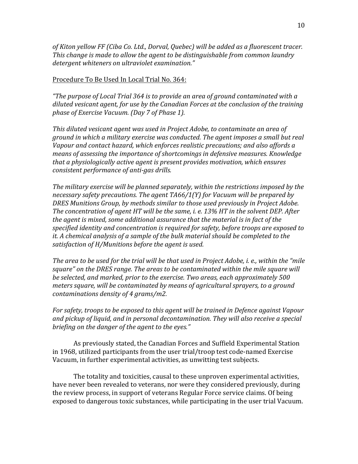of Kiton yellow FF (Ciba Co. Ltd., Dorval, Quebec) will be added as a fluorescent tracer. *This change is made to allow the agent to be distinguishable from common laundry detergent whiteners on ultraviolet examination."* 

### Procedure To Be Used In Local Trial No. 364:

*"The purpose of Local Trial 364 is to provide an area of ground contaminated with a* diluted vesicant agent, for use by the Canadian Forces at the conclusion of the training *phase of Exercise Vacuum.* (Day 7 of Phase 1).

This diluted vesicant agent was used in Project Adobe, to contaminate an area of *ground* in which a military exercise was conducted. The agent imposes a small but real Vapour and contact hazard, which enforces realistic precautions; and also affords a *means of assessing the importance of shortcomings in defensive measures. Knowledge that a physiologically active agent is present provides motivation, which ensures consistent performance of anti-gas drills.*

The military exercise will be planned separately, within the restrictions imposed by the necessary safety precautions. The agent TA66/1(Y) for Vacuum will be prepared by **DRES Munitions Group, by methods similar to those used previously in Project Adobe.** The concentration of agent HT will be the same, *i. e.* 13% HT in the solvent DEP. After the agent is mixed, some additional assurance that the material is in fact of the specified identity and concentration is required for safety, before troops are exposed to *it.* A chemical analysis of a sample of the bulk material should be completed to the satisfaction of H/Munitions before the agent is used.

The area to be used for the trial will be that used in Project Adobe, *i. e.*, within the "mile square" on the DRES range. The areas to be contaminated within the mile square will be selected, and marked, prior to the exercise. Two areas, each approximately 500 *meters square, will be contaminated by means of agricultural sprayers, to a ground contaminations density of 4 grams/m2.*

For safety, troops to be exposed to this agent will be trained in Defence against Vapour and pickup of liquid, and in personal decontamination. They will also receive a special *briefing* on the danger of the agent to the eyes."

As previously stated, the Canadian Forces and Suffield Experimental Station in  $1968$ , utilized participants from the user trial/troop test code-named Exercise Vacuum, in further experimental activities, as unwitting test subjects.

The totality and toxicities, causal to these unproven experimental activities, have never been revealed to veterans, nor were they considered previously, during the review process, in support of veterans Regular Force service claims. Of being exposed to dangerous toxic substances, while participating in the user trial Vacuum.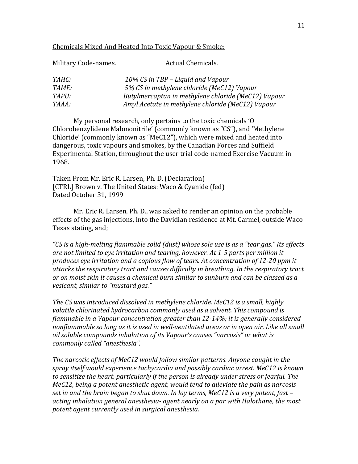#### Chemicals Mixed And Heated Into Toxic Vapour & Smoke:

| Military Code-names. | Actual Chemicals.                                   |
|----------------------|-----------------------------------------------------|
| <i>TAHC:</i>         | 10% CS in TBP - Liquid and Vapour                   |
| <i>TAME:</i>         | 5% CS in methylene chloride (MeC12) Vapour          |
| TAPU:                | Butylmercaptan in methylene chloride (MeC12) Vapour |
| TAAA:                | Amyl Acetate in methylene chloride (MeC12) Vapour   |

My personal research, only pertains to the toxic chemicals 'O Chlorobenzylidene Malononitrile' (commonly known as "CS"), and 'Methylene Chloride' (commonly known as "MeC12"), which were mixed and heated into dangerous, toxic vapours and smokes, by the Canadian Forces and Suffield Experimental Station, throughout the user trial code-named Exercise Vacuum in 1968.

Taken From Mr. Eric R. Larsen, Ph. D. (Declaration) [CTRL] Brown v. The United States: Waco & Cyanide (fed) Dated October 31, 1999

Mr. Eric R. Larsen, Ph. D., was asked to render an opinion on the probable effects of the gas injections, into the Davidian residence at Mt. Carmel, outside Waco Texas stating, and;

"CS is a high-melting flammable solid (dust) whose sole use is as a "tear gas." Its effects are not limited to eye irritation and tearing, however. At 1-5 parts per million it produces eye irritation and a copious flow of tears. At concentration of 12-20 ppm it attacks the respiratory tract and causes difficulty in breathing. In the respiratory tract or on moist skin it causes a chemical burn similar to sunburn and can be classed as a *vesicant, similar to "mustard gas."*

The CS was introduced dissolved in methylene chloride. MeC12 is a small, highly volatile chlorinated hydrocarbon commonly used as a solvent. This compound is *flammable in a Vapour concentration greater than 12-14%; it is generally considered* nonflammable so long as it is used in well-ventilated areas or in open air. Like all small *oil soluble compounds inhalation of its Vapour's causes "narcosis" or what is commonly called "anesthesia".*

The narcotic effects of MeC12 would follow similar patterns. Anyone caught in the spray *itself* would experience tachycardia and possibly cardiac arrest. MeC12 is known to sensitize the heart, particularly if the person is already under stress or fearful. The *MeC12, being a potent anesthetic agent, would tend to alleviate the pain as narcosis* set in and the brain began to shut down. In lay terms, MeC12 is a very potent, fast – *acting inhalation general anesthesia- agent nearly on a par with Halothane, the most* potent agent currently used in surgical anesthesia.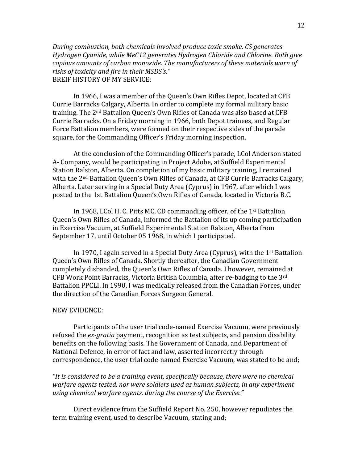*During combustion, both chemicals involved produce toxic smoke. CS generates* Hydrogen Cyanide, while MeC12 generates Hydrogen Chloride and Chlorine. Both give *copious amounts of carbon monoxide. The manufacturers of these materials warn of* risks of toxicity and fire in their MSDS's." BREIF HISTORY OF MY SERVICE:

In 1966, I was a member of the Queen's Own Rifles Depot, located at CFB Currie Barracks Calgary, Alberta. In order to complete my formal military basic training. The 2<sup>nd</sup> Battalion Queen's Own Rifles of Canada was also based at CFB Currie Barracks. On a Friday morning in 1966, both Depot trainees, and Regular Force Battalion members, were formed on their respective sides of the parade square, for the Commanding Officer's Friday morning inspection.

At the conclusion of the Commanding Officer's parade, LCol Anderson stated A- Company, would be participating in Project Adobe, at Suffield Experimental Station Ralston, Alberta. On completion of my basic military training, I remained with the 2<sup>nd</sup> Battalion Queen's Own Rifles of Canada, at CFB Currie Barracks Calgary, Alberta. Later serving in a Special Duty Area (Cyprus) in 1967, after which I was posted to the 1st Battalion Queen's Own Rifles of Canada, located in Victoria B.C.

In 1968, LCol H. C. Pitts MC, CD commanding officer, of the  $1<sup>st</sup>$  Battalion Queen's Own Rifles of Canada, informed the Battalion of its up coming participation in Exercise Vacuum, at Suffield Experimental Station Ralston, Alberta from September 17, until October 05 1968, in which I participated.

In 1970, I again served in a Special Duty Area (Cyprus), with the  $1<sup>st</sup>$  Battalion Queen's Own Rifles of Canada. Shortly thereafter, the Canadian Government completely disbanded, the Oueen's Own Rifles of Canada. I however, remained at CFB Work Point Barracks, Victoria British Columbia, after re-badging to the 3<sup>rd</sup> Battalion PPCLI. In 1990, I was medically released from the Canadian Forces, under the direction of the Canadian Forces Surgeon General.

## NEW EVIDENCE:

Participants of the user trial code-named Exercise Vacuum, were previously refused the *ex-gratia* payment, recognition as test subjects, and pension disability benefits on the following basis. The Government of Canada, and Department of National Defence, in error of fact and law, asserted incorrectly through correspondence, the user trial code-named Exercise Vacuum, was stated to be and;

"It is considered to be a training event, specifically because, there were no chemical warfare agents tested, nor were soldiers used as human subjects, in any experiment *using chemical warfare agents, during the course of the Exercise."* 

Direct evidence from the Suffield Report No. 250, however repudiates the term training event, used to describe Vacuum, stating and;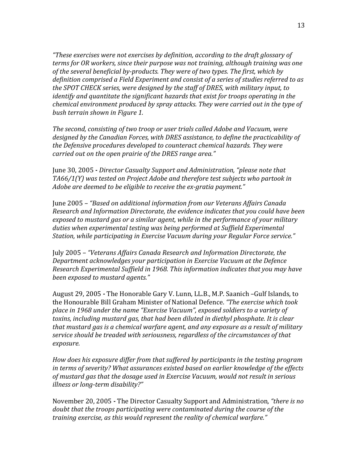*"These exercises were not exercises by definition, according to the draft glossary of terms for OR workers, since their purpose was not training, although training was one* of the several beneficial by-products. They were of two types. The first, which by definition comprised a Field Experiment and consist of a series of studies referred to as *the SPOT CHECK series, were designed by the staff of DRES, with military input, to identify* and quantitate the significant hazards that exist for troops operating in the *chemical environment produced by spray attacks. They were carried out in the type of bush terrain shown in Figure 1.*

*The second, consisting of two troop or user trials called Adobe and Vacuum, were* designed by the Canadian Forces, with DRES assistance, to define the practicability of the Defensive procedures developed to counteract chemical hazards. They were *carried out on the open prairie of the DRES range area."* 

June 30, 2005 *- Director Casualty Support and Administration, "please note that* TA66/1(Y) was tested on Project Adobe and therefore test subjects who partook in *Adobe are deemed to be eligible to receive the ex-gratia payment."* 

June 2005 - "Based on additional information from our Veterans Affairs Canada *Research and Information Directorate, the evidence indicates that you could have been*  exposed to mustard gas or a similar agent, while in the performance of your military duties when experimental testing was being performed at Suffield Experimental Station, while participating in Exercise Vacuum during your Regular Force service."

July 2005 *– "Veterans Affairs Canada Research and Information Directorate, the Department acknowledges your participation in Exercise Vacuum at the Defence Research Experimental Suffield in 1968. This information indicates that you may have been exposed to mustard agents."*

August 29, 2005 *-* The Honorable Gary V. Lunn, LL.B., M.P. Saanich –Gulf Islands, to the Honourable Bill Graham Minister of National Defence. *"The exercise which took* place in 1968 under the name "Exercise Vacuum", exposed soldiers to a variety of toxins, including mustard gas, that had been diluted in diethyl phosphate. It is clear *that mustard gas is a chemical warfare agent, and any exposure as a result of military* service should be treaded with seriousness, regardless of the circumstances of that *exposure.* 

How does his exposure differ from that suffered by participants in the testing program in terms of severity? What assurances existed based on earlier knowledge of the effects of mustard gas that the dosage used in Exercise Vacuum, would not result in serious *illness or long-term disability?"*

November 20, 2005 - The Director Casualty Support and Administration, "there is no *doubt* that the troops participating were contaminated during the course of the *training exercise, as this would represent the reality of chemical warfare."*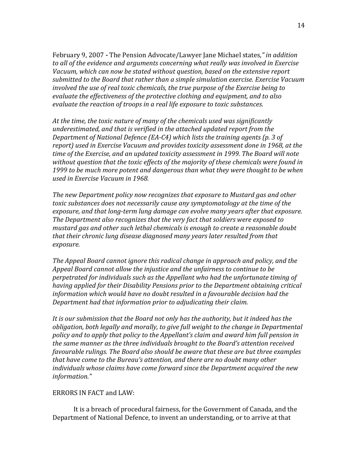February 9, 2007 - The Pension Advocate/Lawyer Jane Michael states," *in addition* to all of the evidence and arguments concerning what really was involved in Exercise Vacuum, which can now be stated without question, based on the extensive report submitted to the Board that rather than a simple simulation exercise. Exercise Vacuum *involved the use of real toxic chemicals, the true purpose of the Exercise being to* evaluate the effectiveness of the protective clothing and equipment, and to also *evaluate the reaction of troops in a real life exposure to toxic substances.* 

At the time, the toxic nature of many of the chemicals used was significantly *underestimated, and that is verified in the attached updated report from the Department of National Defence (EA-C4)* which lists the training agents (p. 3 of report) used in Exercise Vacuum and provides toxicity assessment done in 1968, at the time of the Exercise, and an updated toxicity assessment in 1999. The Board will note without question that the toxic effects of the majority of these chemicals were found in *1999* to be much more potent and dangerous than what they were thought to be when *used in Exercise Vacuum in 1968.*

*The new Department policy now recognizes that exposure to Mustard gas and other toxic* substances does not necessarily cause any symptomatology at the time of the exposure, and that long-term lung damage can evolve many years after that exposure. The Department also recognizes that the very fact that soldiers were exposed to mustard gas and other such lethal chemicals is enough to create a reasonable doubt that their chronic lung disease diagnosed many years later resulted from that *exposure.*

*The Appeal Board cannot ignore this radical change in approach and policy, and the* Appeal Board cannot allow the injustice and the unfairness to continue to be perpetrated for individuals such as the Appellant who had the unfortunate timing of having applied for their Disability Pensions prior to the Department obtaining critical *information* which would have no doubt resulted in a favourable decision had the *Department had that information prior to adjudicating their claim.* 

It is our submission that the Board not only has the authority, but it indeed has the *obligation, both legally and morally, to give full weight to the change in Departmental* policy and to apply that policy to the Appellant's claim and award him full pension in the same manner as the three individuals brought to the Board's attention received *favourable rulings. The Board also should be aware that these are but three examples that have come to the Bureau's attention, and there are no doubt many other individuals* whose claims have come forward since the Department acquired the new *information."*

### ERRORS IN FACT and LAW:

It is a breach of procedural fairness, for the Government of Canada, and the Department of National Defence, to invent an understanding, or to arrive at that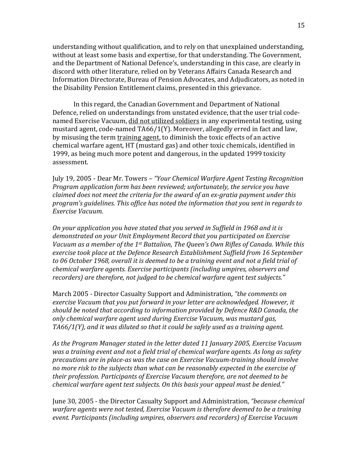understanding without qualification, and to rely on that unexplained understanding, without at least some basis and expertise, for that understanding. The Government, and the Department of National Defence's, understanding in this case, are clearly in discord with other literature, relied on by Veterans Affairs Canada Research and Information Directorate, Bureau of Pension Advocates, and Adjudicators, as noted in the Disability Pension Entitlement claims, presented in this grievance.

In this regard, the Canadian Government and Department of National Defence, relied on understandings from unstated evidence, that the user trial codenamed Exercise Vacuum, did not utilized soldiers in any experimental testing, using mustard agent, code-named  $T\frac{A66}{1}$ (Y). Moreover, allegedly erred in fact and law, by misusing the term training agent, to diminish the toxic effects of an active chemical warfare agent, HT (mustard gas) and other toxic chemicals, identified in 1999, as being much more potent and dangerous, in the updated 1999 toxicity assessment.

July 19, 2005 - Dear Mr. Towers – "Your Chemical Warfare Agent Testing Recognition *Program application form has been reviewed; unfortunately, the service you have claimed does not meet the criteria for the award of an ex-gratia payment under this* program's guidelines. This office has noted the information that you sent in regards to *Exercise Vacuum.*

*On your application you have stated that you served in Suffield in 1968 and it is* demonstrated on your Unit Employment Record that you participated on Exercise Vacuum as a member of the 1<sup>st</sup> Battalion, The Queen's Own Rifles of Canada. While this exercise took place at the Defence Research Establishment Suffield from 16 September to 06 October 1968, overall it is deemed to be a training event and not a field trial of *chemical* warfare agents. Exercise participants (including umpires, observers and recorders) are therefore, not judged to be chemical warfare agent test subjects."

March 2005 *-* Director Casualty Support and Administration, "the comments on *exercise Vacuum that you put forward in your letter are acknowledged. However, it should be noted that according to information provided by Defence R&D Canada, the only chemical warfare agent used during Exercise Vacuum, was mustard gas, TA66/1(Y), and it was diluted so that it could be safely used as a training agent.* 

As the Program Manager stated in the letter dated 11 January 2005, Exercise Vacuum was a training event and not a field trial of chemical warfare agents. As long as safety precautions are in place-as was the case on Exercise Vacuum-training should involve no more risk to the subjects than what can be reasonably expected in the exercise of *their* profession. Participants of Exercise Vacuum therefore, are not deemed to be *chemical warfare agent test subjects. On this basis your appeal must be denied."* 

June 30, 2005 - the Director Casualty Support and Administration, "because chemical warfare agents were not tested, Exercise Vacuum is therefore deemed to be a training *event.* Participants (including umpires, observers and recorders) of Exercise Vacuum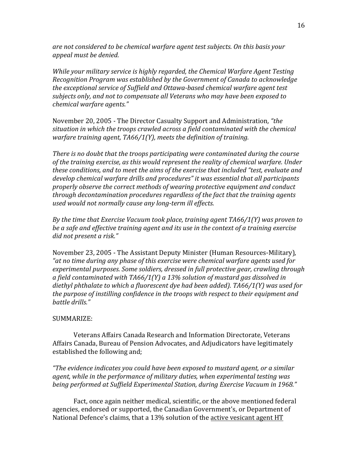are not considered to be chemical warfare agent test subjects. On this basis your *appeal must be denied.*

*While your military service is highly regarded, the Chemical Warfare Agent Testing* Recognition Program was established by the Government of Canada to acknowledge the exceptional service of Suffield and Ottawa-based chemical warfare agent test subjects only, and not to compensate all Veterans who may have been exposed to *chemical* warfare agents."

November 20, 2005 - The Director Casualty Support and Administration, "the situation in which the troops crawled across a field contaminated with the chemical *warfare training agent, TA66/1(Y), meets the definition of training.* 

*There* is no doubt that the troops participating were contaminated during the course of the training exercise, as this would represent the reality of chemical warfare. Under these conditions, and to meet the aims of the exercise that included "test, evaluate and develop chemical warfare drills and procedures" it was essential that all participants properly observe the correct methods of wearing protective equipment and conduct *through decontamination procedures regardless of the fact that the training agents* used would not normally cause any long-term ill effects.

*By* the time that Exercise Vacuum took place, training agent TA66/1(Y) was proven to be a safe and effective training agent and its use in the context of a training exercise *did not present a risk."*

November 23, 2005 - The Assistant Deputy Minister (Human Resources-Military), "at no time during any phase of this exercise were chemical warfare agents used for experimental purposes. Some soldiers, dressed in full protective gear, crawling through a field contaminated with TA66/1(Y) a 13% solution of mustard gas dissolved in diethyl phthalate to which a fluorescent dye had been added). TA66/1(Y) was used for *the purpose of instilling confidence in the troops with respect to their equipment and battle drills."*

#### SUMMARIZE:

Veterans Affairs Canada Research and Information Directorate, Veterans Affairs Canada, Bureau of Pension Advocates, and Adjudicators have legitimately established the following and;

*"The evidence indicates you could have been exposed to mustard agent, or a similar agent,* while in the performance of military duties, when experimental testing was being performed at Suffield Experimental Station, during Exercise Vacuum in 1968."

Fact, once again neither medical, scientific, or the above mentioned federal agencies, endorsed or supported, the Canadian Government's, or Department of National Defence's claims, that a 13% solution of the active vesicant agent HT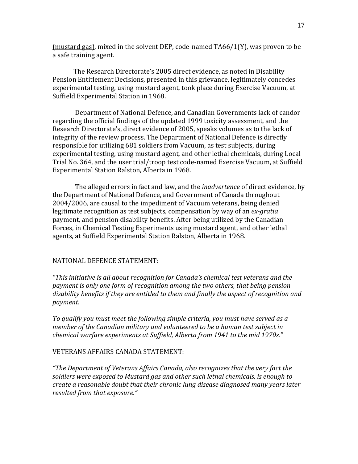(mustard gas), mixed in the solvent DEP, code-named  $T\text{A}66/1(Y)$ , was proven to be a safe training agent.

The Research Directorate's 2005 direct evidence, as noted in Disability Pension Entitlement Decisions, presented in this grievance, legitimately concedes experimental testing, using mustard agent, took place during Exercise Vacuum, at Suffield Experimental Station in 1968.

Department of National Defence, and Canadian Governments lack of candor regarding the official findings of the updated 1999 toxicity assessment, and the Research Directorate's, direct evidence of 2005, speaks volumes as to the lack of integrity of the review process. The Department of National Defence is directly responsible for utilizing 681 soldiers from Vacuum, as test subjects, during experimental testing, using mustard agent, and other lethal chemicals, during Local Trial No. 364, and the user trial/troop test code-named Exercise Vacuum, at Suffield Experimental Station Ralston, Alberta in 1968.

The alleged errors in fact and law, and the *inadvertence* of direct evidence, by the Department of National Defence, and Government of Canada throughout 2004/2006, are causal to the impediment of Vacuum veterans, being denied legitimate recognition as test subjects, compensation by way of an *ex-gratia* payment, and pension disability benefits. After being utilized by the Canadian Forces, in Chemical Testing Experiments using mustard agent, and other lethal agents, at Suffield Experimental Station Ralston, Alberta in 1968.

## NATIONAL DEFENCE STATEMENT:

*"This initiative is all about recognition for Canada's chemical test veterans and the* payment is only one form of recognition among the two others, that being pension disability benefits if they are entitled to them and finally the aspect of recognition and *payment.* 

To qualify you must meet the following simple criteria, you must have served as a *member of the Canadian military and volunteered to be a human test subject in* chemical warfare experiments at Suffield, Alberta from 1941 to the mid 1970s."

## VETERANS AFFAIRS CANADA STATEMENT:

*"The Department of Veterans Affairs Canada, also recognizes that the very fact the soldiers were exposed to Mustard gas and other such lethal chemicals, is enough to create a reasonable doubt that their chronic lung disease diagnosed many years later resulted from that exposure."*